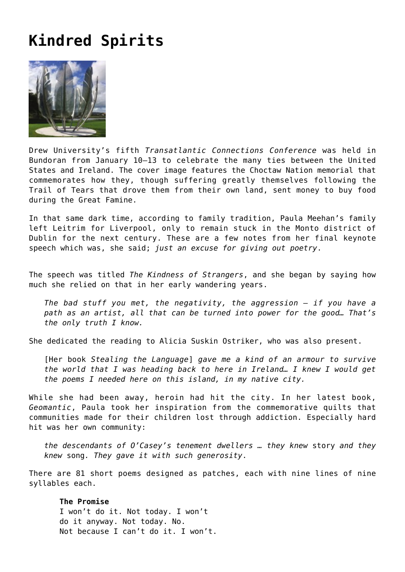# **[Kindred Spirits](https://corncrakemagazine.com/article/kindred-spirits/)**



Drew University's fifth *[Transatlantic Connections Conference](https://www.taccireland.com/)* was held in Bundoran from January 10–13 to celebrate the many ties between the United States and Ireland. The cover image features the Choctaw Nation memorial that commemorates how they, though suffering greatly themselves following the Trail of Tears that drove them from their own land, sent money to buy food during the Great Famine.

In that same dark time, according to family tradition, Paula Meehan's family left Leitrim for Liverpool, only to remain stuck in the Monto district of Dublin for the next century. These are a few notes from her final keynote speech which was, she said; *just an excuse for giving out poetry*.

The speech was titled *The Kindness of Strangers*, and she began by saying how much she relied on that in her early wandering years.

*The bad stuff you met, the negativity, the aggression – if you have a path as an artist, all that can be turned into power for the good… That's the only truth I know.*

She dedicated the reading to [Alicia Suskin Ostriker](https://en.wikipedia.org/wiki/Alicia_Ostriker), who was also present.

[Her book *[Stealing the Language](https://en.wikipedia.org/wiki/Stealing_the_Language:_The_Emergence_of_Women%27s_Poetry_in_America)*] *gave me a kind of an armour to survive the world that I was heading back to here in Ireland… I knew I would get the poems I needed here on this island, in my native city.*

While she had been away, heroin had hit the city. In her latest book, *[Geomantic](https://dedaluspress.com/product/geomantic/)*, Paula took her inspiration from the commemorative quilts that communities made for their children lost through addiction. Especially hard hit was her own community:

*the descendants of O'Casey's tenement dwellers … they knew* story *and they knew* song*. They gave it with such generosity*.

There are 81 short poems designed as patches, each with nine lines of nine syllables each.

## **The Promise**

I won't do it. Not today. I won't do it anyway. Not today. No. Not because I can't do it. I won't.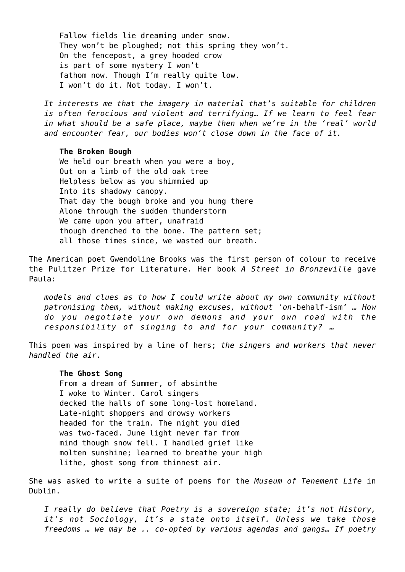Fallow fields lie dreaming under snow. They won't be ploughed; not this spring they won't. On the fencepost, a grey hooded crow is part of some mystery I won't fathom now. Though I'm really quite low. I won't do it. Not today. I won't.

*It interests me that the imagery in material that's suitable for children is often ferocious and violent and terrifying… If we learn to feel fear in what should be a safe place, maybe then when we're in the 'real' world and encounter fear, our bodies won't close down in the face of it.*

#### **The Broken Bough**

We held our breath when you were a boy, Out on a limb of the old oak tree Helpless below as you shimmied up Into its shadowy canopy. That day the bough broke and you hung there Alone through the sudden thunderstorm We came upon you after, unafraid though drenched to the bone. The pattern set; all those times since, we wasted our breath.

The American poet [Gwendoline Brooks](https://www.poetryfoundation.org/poets/gwendolyn-brooks) was the first person of colour to receive the Pulitzer Prize for Literature. Her book *A Street in Bronzeville* gave Paula:

*models and clues as to how I could write about my own community without patronising them, without making excuses, without 'on-*behalf-ism*' … How do you negotiate your own demons and your own road with the responsibility of singing to and for your community? …*

This poem was inspired by a line of hers; *the singers and workers that never handled the air*.

### **The Ghost Song**

From a dream of Summer, of absinthe I woke to Winter. Carol singers decked the halls of some long-lost homeland. Late-night shoppers and drowsy workers headed for the train. The night you died was two-faced. June light never far from mind though snow fell. I handled grief like molten sunshine; learned to breathe your high lithe, ghost song from thinnest air.

She was asked to write a suite of poems for the *[Museum of Tenement Life](https://www.facebook.com/TenementDublin/)* in Dublin.

*I really do believe that Poetry is a sovereign state; it's not History, it's not Sociology, it's a state onto itself. Unless we take those freedoms … we may be .. co-opted by various agendas and gangs… If poetry*